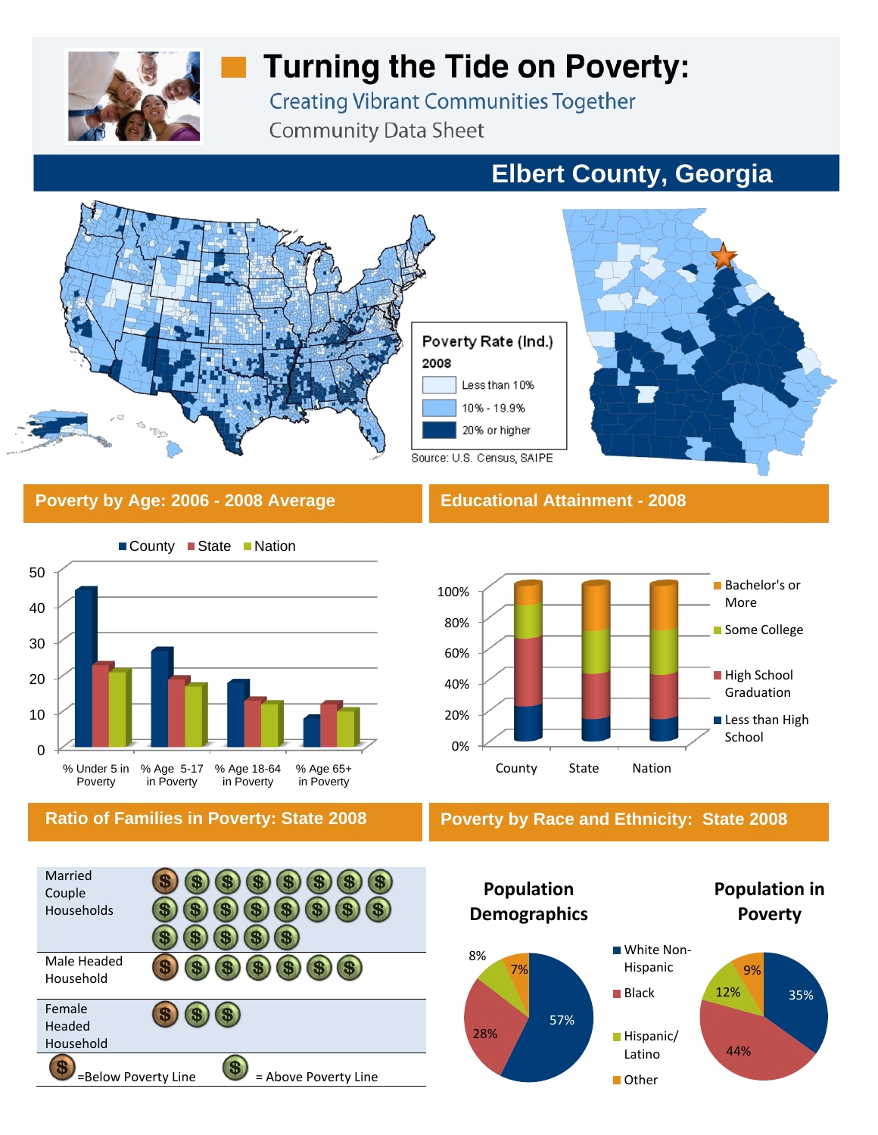

# **Turning the Tide on Poverty:**

**Creating Vibrant Communities Together Community Data Sheet** 

# **Elbert County, Georgia**



### **Poverty by Age: 2006 - 2008 Average Educational Attainment - 2008**







### **Ratio of Families in Poverty: State 2008 Poverty by Race and Ethnicity: State 2008**